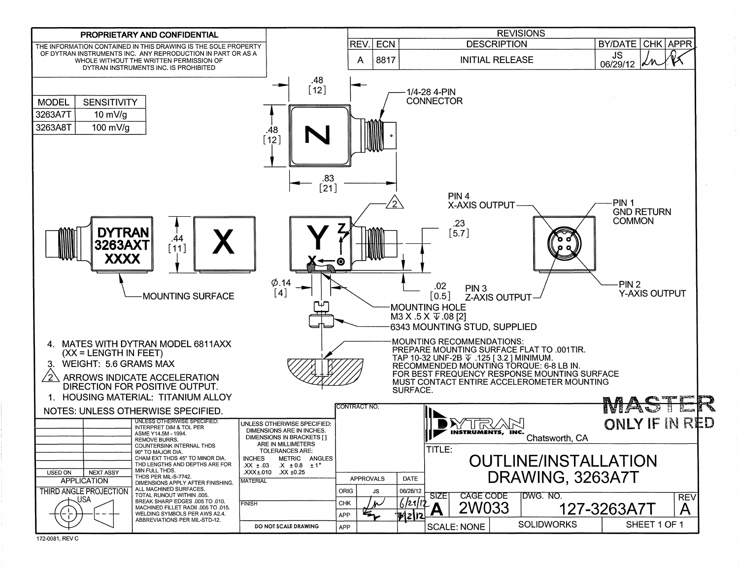

172-0081, REV C